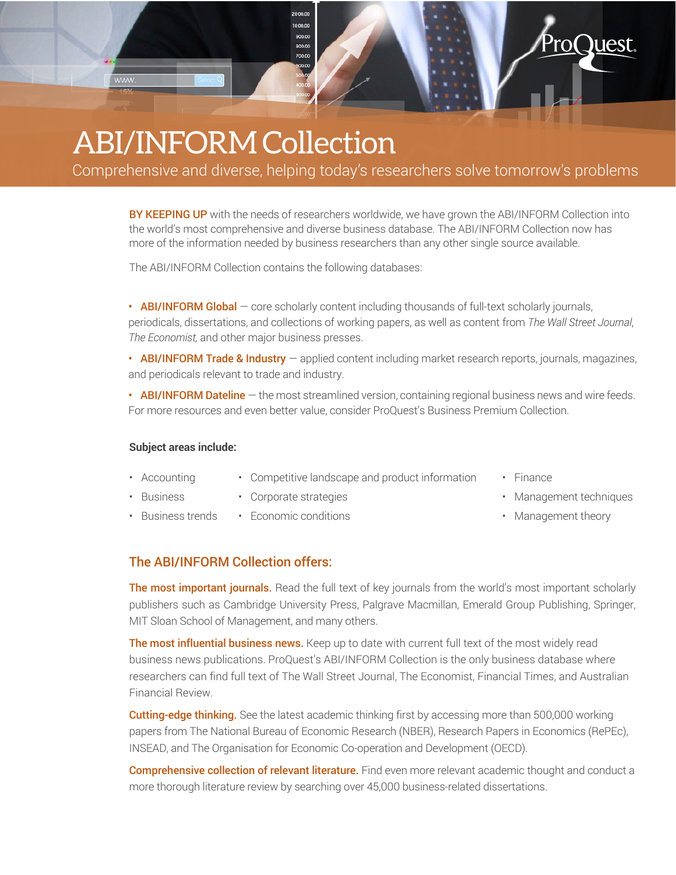

## ABI/INFORM Collection

Comprehensive and diverse, helping today's researchers solve tomorrow's problems

BY KEEPING UP with the needs of researchers worldwide, we have grown the ABI/INFORM Collection into the world's most comprehensive and diverse business database. The ABI/INFORM Collection now has more of the information needed by business researchers than any other single source available.

The ABI/INFORM Collection contains the following databases:

• ABI/INFORM Global – core scholarly content including thousands of full-text scholarly journals, periodicals, dissertations, and collections of working papers, as well as content from *The Wall Street Journal*, *The Economist,* and other major business presses.

• ABI/INFORM Trade & Industry – applied content including market research reports, journals, magazines, and periodicals relevant to trade and industry.

• ABI/INFORM Dateline – the most streamlined version, containing regional business news and wire feeds. For more resources and even better value, consider ProQuest's Business Premium Collection.

## **Subject areas include:**

- Accounting • Competitive landscape and product information
- Business
- Corporate strategies
- **Business trends** • Economic conditions
- Finance
- Management techniques
- Management theory

## The ABI/INFORM Collection offers:

The most important journals. Read the full text of key journals from the world's most important scholarly publishers such as Cambridge University Press, Palgrave Macmillan, Emerald Group Publishing, Springer, MIT Sloan School of Management, and many others.

The most influential business news. Keep up to date with current full text of the most widely read business news publications. ProQuest's ABI/INFORM Collection is the only business database where researchers can find full text of The Wall Street Journal, The Economist, Financial Times, and Australian Financial Review.

**Cutting-edge thinking.** See the latest academic thinking first by accessing more than 500,000 working papers from The National Bureau of Economic Research (NBER), Research Papers in Economics (RePEc), INSEAD, and The Organisation for Economic Co-operation and Development (OECD).

Comprehensive collection of relevant literature. Find even more relevant academic thought and conduct a more thorough literature review by searching over 45,000 business-related dissertations.